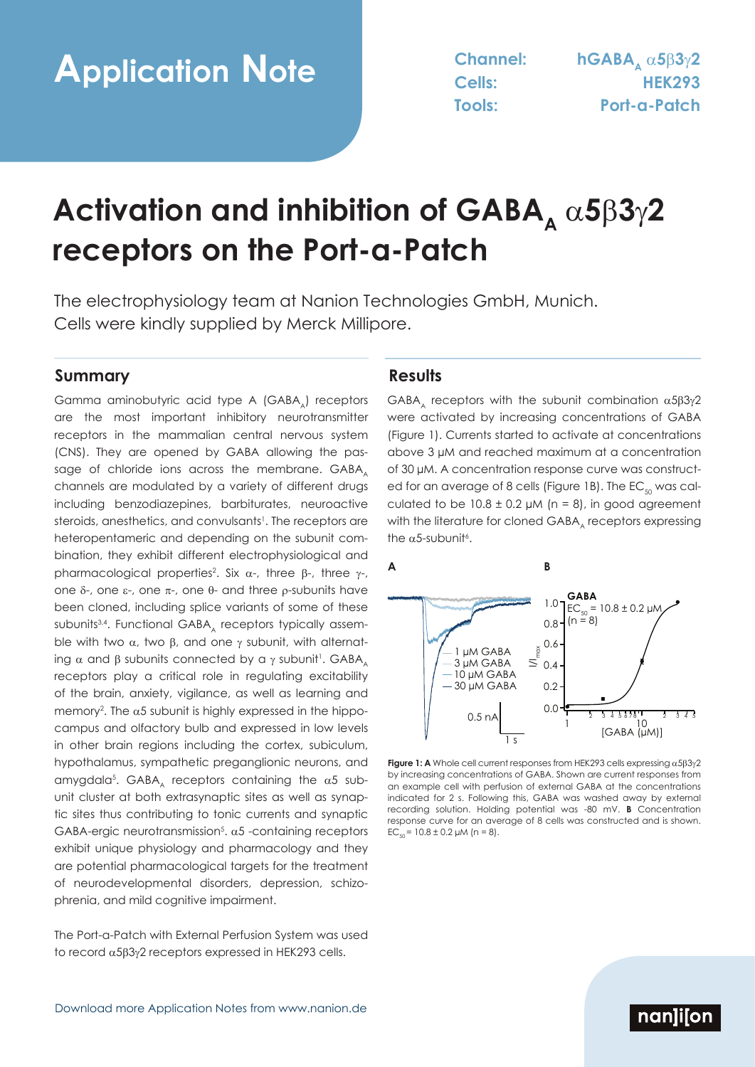# **Activation and inhibition of GABA,**  $\alpha$ **5** $\beta$ **3** $\gamma$ **2 receptors on the Port-a-Patch**

The electrophysiology team at Nanion Technologies GmbH, Munich. Cells were kindly supplied by Merck Millipore.

### **Summary Results**

Gamma aminobutyric acid type A (GABA) receptors are the most important inhibitory neurotransmitter receptors in the mammalian central nervous system (CNS). They are opened by GABA allowing the passage of chloride ions across the membrane. GABA. channels are modulated by a variety of different drugs including benzodiazepines, barbiturates, neuroactive steroids, anesthetics, and convulsants<sup>1</sup>. The receptors are heteropentameric and depending on the subunit combination, they exhibit different electrophysiological and pharmacological properties<sup>2</sup>. Six  $\alpha$ -, three  $\beta$ -, three  $\gamma$ -, one  $\delta$ -, one ε-, one π-, one  $θ$ - and three p-subunits have been cloned, including splice variants of some of these subunits<sup>3,4</sup>. Functional GABA, receptors typically assemble with two  $\alpha$ , two  $\beta$ , and one  $\gamma$  subunit, with alternating  $\alpha$  and  $\beta$  subunits connected by a  $\gamma$  subunit<sup>1</sup>. GABA $_{\textrm{\tiny{A}}}$ receptors play a critical role in regulating excitability of the brain, anxiety, vigilance, as well as learning and memory<sup>2</sup>. The  $\alpha$ 5 subunit is highly expressed in the hippocampus and olfactory bulb and expressed in low levels in other brain regions including the cortex, subiculum, hypothalamus, sympathetic preganglionic neurons, and amygdala $^5$ . GABA $_{\rm A}$  receptors containing the  $\alpha5$  subunit cluster at both extrasynaptic sites as well as synaptic sites thus contributing to tonic currents and synaptic GABA-ergic neurotransmission<sup>5</sup>.  $\alpha$ 5 -containing receptors exhibit unique physiology and pharmacology and they are potential pharmacological targets for the treatment of neurodevelopmental disorders, depression, schizophrenia, and mild cognitive impairment.

The Port-a-Patch with External Perfusion System was used to record  $\alpha$ 5 $\beta$ 3 $\gamma$ 2 receptors expressed in HEK293 cells.

GABA, receptors with the subunit combination  $\alpha$ 5 $\beta$ 3 $\gamma$ 2 were activated by increasing concentrations of GABA (Figure 1). Currents started to activate at concentrations above 3 µM and reached maximum at a concentration of 30 µM. A concentration response curve was constructed for an average of 8 cells (Figure 1B). The  $EC_{50}$  was calculated to be  $10.8 \pm 0.2$  µM (n = 8), in good agreement with the literature for cloned GABA, receptors expressing the  $\alpha$ 5-subunit<sup>6</sup>.



**Figure 1:** A Whole cell current responses from HEK293 cells expressing  $\alpha$ 5 $\beta$ 3 $\gamma$ 2 by increasing concentrations of GABA. Shown are current responses from an example cell with perfusion of external GABA at the concentrations indicated for 2 s. Following this, GABA was washed away by external recording solution. Holding potential was -80 mV. **B** Concentration response curve for an average of 8 cells was constructed and is shown.  $EC_{50} = 10.8 \pm 0.2 \mu M$  (n = 8).

# nanlijon